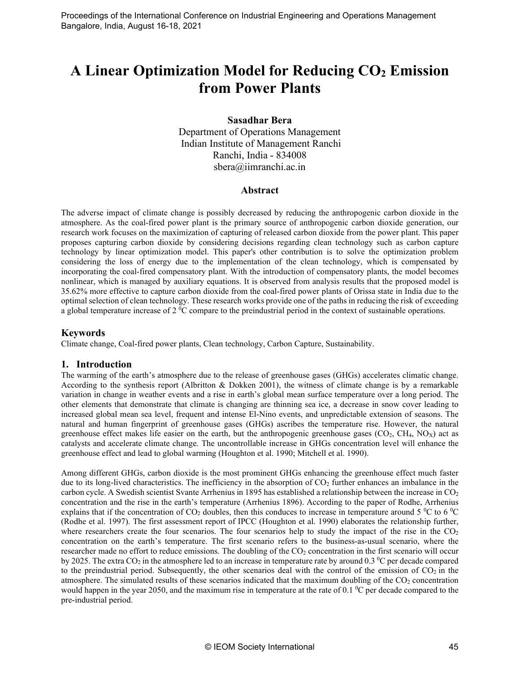# **A Linear Optimization Model for Reducing CO2 Emission from Power Plants**

## **Sasadhar Bera**

Department of Operations Management Indian Institute of Management Ranchi Ranchi, India - 834008 sbera@iimranchi.ac.in

## **Abstract**

The adverse impact of climate change is possibly decreased by reducing the anthropogenic carbon dioxide in the atmosphere. As the coal-fired power plant is the primary source of anthropogenic carbon dioxide generation, our research work focuses on the maximization of capturing of released carbon dioxide from the power plant. This paper proposes capturing carbon dioxide by considering decisions regarding clean technology such as carbon capture technology by linear optimization model. This paper's other contribution is to solve the optimization problem considering the loss of energy due to the implementation of the clean technology, which is compensated by incorporating the coal-fired compensatory plant. With the introduction of compensatory plants, the model becomes nonlinear, which is managed by auxiliary equations. It is observed from analysis results that the proposed model is 35.62% more effective to capture carbon dioxide from the coal-fired power plants of Orissa state in India due to the optimal selection of clean technology. These research works provide one of the paths in reducing the risk of exceeding a global temperature increase of 2  $\rm{^0C}$  compare to the preindustrial period in the context of sustainable operations.

## **Keywords**

Climate change, Coal-fired power plants, Clean technology, Carbon Capture, Sustainability.

## **1. Introduction**

The warming of the earth's atmosphere due to the release of greenhouse gases (GHGs) accelerates climatic change. According to the synthesis report (Albritton & Dokken 2001), the witness of climate change is by a remarkable variation in change in weather events and a rise in earth's global mean surface temperature over a long period. The other elements that demonstrate that climate is changing are thinning sea ice, a decrease in snow cover leading to increased global mean sea level, frequent and intense El-Nino events, and unpredictable extension of seasons. The natural and human fingerprint of greenhouse gases (GHGs) ascribes the temperature rise. However, the natural greenhouse effect makes life easier on the earth, but the anthropogenic greenhouse gases ( $CO<sub>2</sub>$ ,  $CH<sub>4</sub>$ ,  $NO<sub>X</sub>$ ) act as catalysts and accelerate climate change. The uncontrollable increase in GHGs concentration level will enhance the greenhouse effect and lead to global warming (Houghton et al. 1990; Mitchell et al. 1990).

Among different GHGs, carbon dioxide is the most prominent GHGs enhancing the greenhouse effect much faster due to its long-lived characteristics. The inefficiency in the absorption of  $CO<sub>2</sub>$  further enhances an imbalance in the carbon cycle. A Swedish scientist Svante Arrhenius in 1895 has established a relationship between the increase in CO<sub>2</sub> concentration and the rise in the earth's temperature (Arrhenius 1896). According to the paper of Rodhe, Arrhenius explains that if the concentration of CO<sub>2</sub> doubles, then this conduces to increase in temperature around 5  $\rm{^{0}C}$  to 6  $\rm{^{0}C}$ (Rodhe et al. 1997). The first assessment report of IPCC (Houghton et al. 1990) elaborates the relationship further, where researchers create the four scenarios. The four scenarios help to study the impact of the rise in the  $CO<sub>2</sub>$ concentration on the earth's temperature. The first scenario refers to the business-as-usual scenario, where the researcher made no effort to reduce emissions. The doubling of the CO<sub>2</sub> concentration in the first scenario will occur by 2025. The extra CO<sub>2</sub> in the atmosphere led to an increase in temperature rate by around 0.3 <sup>o</sup>C per decade compared to the preindustrial period. Subsequently, the other scenarios deal with the control of the emission of  $CO<sub>2</sub>$  in the atmosphere. The simulated results of these scenarios indicated that the maximum doubling of the CO<sub>2</sub> concentration would happen in the year 2050, and the maximum rise in temperature at the rate of 0.1  $\rm{^0C}$  per decade compared to the pre-industrial period.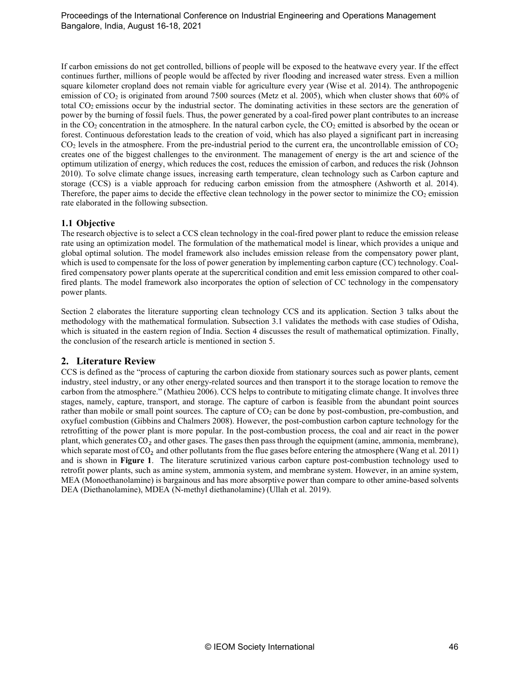If carbon emissions do not get controlled, billions of people will be exposed to the heatwave every year. If the effect continues further, millions of people would be affected by river flooding and increased water stress. Even a million square kilometer cropland does not remain viable for agriculture every year (Wise et al. 2014). The anthropogenic emission of CO<sub>2</sub> is originated from around 7500 sources (Metz et al. 2005), which when cluster shows that 60% of total CO2 emissions occur by the industrial sector. The dominating activities in these sectors are the generation of power by the burning of fossil fuels. Thus, the power generated by a coal-fired power plant contributes to an increase in the  $CO<sub>2</sub>$  concentration in the atmosphere. In the natural carbon cycle, the  $CO<sub>2</sub>$  emitted is absorbed by the ocean or forest. Continuous deforestation leads to the creation of void, which has also played a significant part in increasing  $CO<sub>2</sub>$  levels in the atmosphere. From the pre-industrial period to the current era, the uncontrollable emission of  $CO<sub>2</sub>$ creates one of the biggest challenges to the environment. The management of energy is the art and science of the optimum utilization of energy, which reduces the cost, reduces the emission of carbon, and reduces the risk (Johnson 2010). To solve climate change issues, increasing earth temperature, clean technology such as Carbon capture and storage (CCS) is a viable approach for reducing carbon emission from the atmosphere (Ashworth et al. 2014). Therefore, the paper aims to decide the effective clean technology in the power sector to minimize the  $CO<sub>2</sub>$  emission rate elaborated in the following subsection.

#### **1.1 Objective**

The research objective is to select a CCS clean technology in the coal-fired power plant to reduce the emission release rate using an optimization model. The formulation of the mathematical model is linear, which provides a unique and global optimal solution. The model framework also includes emission release from the compensatory power plant, which is used to compensate for the loss of power generation by implementing carbon capture (CC) technology. Coalfired compensatory power plants operate at the supercritical condition and emit less emission compared to other coalfired plants. The model framework also incorporates the option of selection of CC technology in the compensatory power plants.

Section 2 elaborates the literature supporting clean technology CCS and its application. Section 3 talks about the methodology with the mathematical formulation. Subsection 3.1 validates the methods with case studies of Odisha, which is situated in the eastern region of India. Section 4 discusses the result of mathematical optimization. Finally, the conclusion of the research article is mentioned in section 5.

## **2. Literature Review**

CCS is defined as the "process of capturing the carbon dioxide from stationary sources such as power plants, cement industry, steel industry, or any other energy-related sources and then transport it to the storage location to remove the carbon from the atmosphere." (Mathieu 2006). CCS helps to contribute to mitigating climate change. It involves three stages, namely, capture, transport, and storage. The capture of carbon is feasible from the abundant point sources rather than mobile or small point sources. The capture of  $CO<sub>2</sub>$  can be done by post-combustion, pre-combustion, and oxyfuel combustion (Gibbins and Chalmers 2008). However, the post-combustion carbon capture technology for the retrofitting of the power plant is more popular. In the post-combustion process, the coal and air react in the power plant, which generates CO<sub>2</sub> and other gases. The gases then pass through the equipment (amine, ammonia, membrane), which separate most of  $CO<sub>2</sub>$  and other pollutants from the flue gases before entering the atmosphere (Wang et al. 2011) and is shown in **Figure 1**. The literature scrutinized various carbon capture post-combustion technology used to retrofit power plants, such as amine system, ammonia system, and membrane system. However, in an amine system, MEA (Monoethanolamine) is bargainous and has more absorptive power than compare to other amine-based solvents DEA (Diethanolamine), MDEA (N-methyl diethanolamine) (Ullah et al. 2019).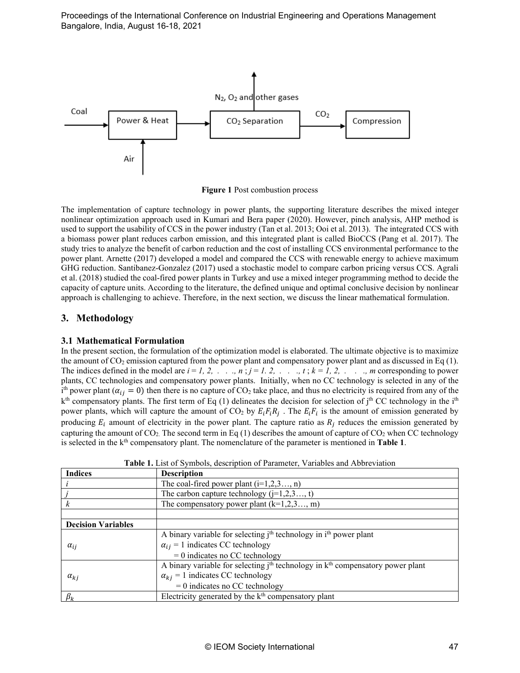

**Figure 1** Post combustion process

The implementation of capture technology in power plants, the supporting literature describes the mixed integer nonlinear optimization approach used in Kumari and Bera paper (2020). However, pinch analysis, AHP method is used to support the usability of CCS in the power industry (Tan et al. 2013; Ooi et al. 2013). The integrated CCS with a biomass power plant reduces carbon emission, and this integrated plant is called BioCCS (Pang et al. 2017). The study tries to analyze the benefit of carbon reduction and the cost of installing CCS environmental performance to the power plant. Arnette (2017) developed a model and compared the CCS with renewable energy to achieve maximum GHG reduction. Santibanez-Gonzalez (2017) used a stochastic model to compare carbon pricing versus CCS. Agrali et al. (2018) studied the coal-fired power plants in Turkey and use a mixed integer programming method to decide the capacity of capture units. According to the literature, the defined unique and optimal conclusive decision by nonlinear approach is challenging to achieve. Therefore, in the next section, we discuss the linear mathematical formulation.

# **3. Methodology**

## **3.1 Mathematical Formulation**

In the present section, the formulation of the optimization model is elaborated. The ultimate objective is to maximize the amount of  $CO<sub>2</sub>$  emission captured from the power plant and compensatory power plant and as discussed in Eq (1). The indices defined in the model are  $i = 1, 2, \ldots, n$ ;  $j = 1, 2, \ldots, t$ ;  $k = 1, 2, \ldots, m$  corresponding to power plants, CC technologies and compensatory power plants. Initially, when no CC technology is selected in any of the  $i<sup>th</sup>$  power plant ( $\alpha_{ij} = 0$ ) then there is no capture of CO<sub>2</sub> take place, and thus no electricity is required from any of the  $k<sup>th</sup>$  compensatory plants. The first term of Eq (1) delineates the decision for selection of j<sup>th</sup> CC technology in the i<sup>th</sup> power plants, which will capture the amount of CO<sub>2</sub> by  $E_i F_i R_j$ . The  $E_i F_i$  is the amount of emission generated by producing  $E_i$  amount of electricity in the power plant. The capture ratio as  $R_i$  reduces the emission generated by capturing the amount of  $CO_2$ . The second term in Eq (1) describes the amount of capture of  $CO_2$  when CC technology is selected in the k<sup>th</sup> compensatory plant. The nomenclature of the parameter is mentioned in **Table 1**.

| <b>Indices</b>            | <b>Description</b>                                                                        |  |  |  |  |  |
|---------------------------|-------------------------------------------------------------------------------------------|--|--|--|--|--|
|                           | The coal-fired power plant $(i=1,2,3,n)$                                                  |  |  |  |  |  |
|                           | The carbon capture technology $(j=1,2,3$ , t)                                             |  |  |  |  |  |
|                           | The compensatory power plant $(k=1,2,3$ , m)                                              |  |  |  |  |  |
|                           |                                                                                           |  |  |  |  |  |
| <b>Decision Variables</b> |                                                                                           |  |  |  |  |  |
|                           | A binary variable for selecting j <sup>th</sup> technology in i <sup>th</sup> power plant |  |  |  |  |  |
| $\alpha_{ij}$             | $\alpha_{ij} = 1$ indicates CC technology                                                 |  |  |  |  |  |
|                           | $= 0$ indicates no CC technology                                                          |  |  |  |  |  |
|                           | A binary variable for selecting $jth$ technology in $kth$ compensatory power plant        |  |  |  |  |  |
| $\alpha_{ki}$             | $\alpha_{ki} = 1$ indicates CC technology                                                 |  |  |  |  |  |
|                           | $= 0$ indicates no CC technology                                                          |  |  |  |  |  |
| $\beta_k$                 | Electricity generated by the $kth$ compensatory plant                                     |  |  |  |  |  |

**Table 1.** List of Symbols, description of Parameter, Variables and Abbreviation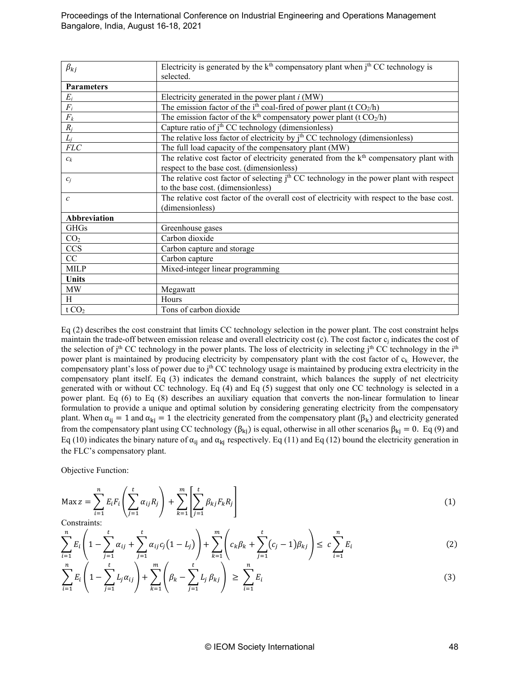| $\beta_{ki}$      | Electricity is generated by the $k^{th}$ compensatory plant when $j^{th}$ CC technology is<br>selected. |  |  |  |
|-------------------|---------------------------------------------------------------------------------------------------------|--|--|--|
| <b>Parameters</b> |                                                                                                         |  |  |  |
| $E_i$             | Electricity generated in the power plant $i$ (MW)                                                       |  |  |  |
| $\overline{F_i}$  | The emission factor of the i <sup>th</sup> coal-fired of power plant (t $CO2/h$ )                       |  |  |  |
| $\mathcal{F}_k$   | The emission factor of the $k^{th}$ compensatory power plant (t $CO2/h$ )                               |  |  |  |
| $R_i$             | Capture ratio of j <sup>th</sup> CC technology (dimensionless)                                          |  |  |  |
| $L_i$             | The relative loss factor of electricity by j <sup>th</sup> CC technology (dimensionless)                |  |  |  |
| $FLC$             | The full load capacity of the compensatory plant (MW)                                                   |  |  |  |
| $c_k$             | The relative cost factor of electricity generated from the $kth$ compensatory plant with                |  |  |  |
|                   | respect to the base cost. (dimensionless)                                                               |  |  |  |
| $c_i$             | The relative cost factor of selecting j <sup>th</sup> CC technology in the power plant with respect     |  |  |  |
|                   | to the base cost. (dimensionless)                                                                       |  |  |  |
| $\mathcal{C}$     | The relative cost factor of the overall cost of electricity with respect to the base cost.              |  |  |  |
|                   | (dimensionless)                                                                                         |  |  |  |
| Abbreviation      |                                                                                                         |  |  |  |
| <b>GHGs</b>       | Greenhouse gases                                                                                        |  |  |  |
| CO <sub>2</sub>   | Carbon dioxide                                                                                          |  |  |  |
| <b>CCS</b>        | Carbon capture and storage                                                                              |  |  |  |
| CC                | Carbon capture                                                                                          |  |  |  |
| <b>MILP</b>       | Mixed-integer linear programming                                                                        |  |  |  |
| <b>Units</b>      |                                                                                                         |  |  |  |
| MW                | Megawatt                                                                                                |  |  |  |
| H                 | Hours                                                                                                   |  |  |  |
| t CO <sub>2</sub> | Tons of carbon dioxide                                                                                  |  |  |  |

Eq (2) describes the cost constraint that limits CC technology selection in the power plant. The cost constraint helps maintain the trade-off between emission release and overall electricity cost (c). The cost factor  $c_i$  indicates the cost of the selection of  $j<sup>th</sup> CC$  technology in the power plants. The loss of electricity in selecting  $j<sup>th</sup> CC$  technology in the  $i<sup>th</sup>$ power plant is maintained by producing electricity by compensatory plant with the cost factor of  $c_k$ . However, the compensatory plant's loss of power due to j<sup>th</sup> CC technology usage is maintained by producing extra electricity in the compensatory plant itself. Eq (3) indicates the demand constraint, which balances the supply of net electricity generated with or without CC technology. Eq (4) and Eq (5) suggest that only one CC technology is selected in a power plant. Eq (6) to Eq (8) describes an auxiliary equation that converts the non-linear formulation to linear formulation to provide a unique and optimal solution by considering generating electricity from the compensatory plant. When  $\alpha_{ij} = 1$  and  $\alpha_{ki} = 1$  the electricity generated from the compensatory plant ( $\beta_k$ ) and electricity generated from the compensatory plant using CC technology ( $\beta_{kj}$ ) is equal, otherwise in all other scenarios  $\beta_{kj} = 0$ . Eq (9) and Eq (10) indicates the binary nature of  $\alpha_{ii}$  and  $\alpha_{ki}$  respectively. Eq (11) and Eq (12) bound the electricity generation in the FLC's compensatory plant.

Objective Function:

$$
\text{Max } z = \sum_{i=1}^{n} E_i F_i \left( \sum_{j=1}^{t} \alpha_{ij} R_j \right) + \sum_{k=1}^{m} \left[ \sum_{j=1}^{t} \beta_{kj} F_k R_j \right]
$$
(1)

Constraints:

$$
\sum_{i=1}^{n} E_i \left( 1 - \sum_{j=1}^{t} \alpha_{ij} + \sum_{j=1}^{t} \alpha_{ij} c_j (1 - L_j) \right) + \sum_{k=1}^{m} \left( c_k \beta_k + \sum_{j=1}^{t} (c_j - 1) \beta_{kj} \right) \leq c \sum_{i=1}^{n} E_i
$$
\n(2)

$$
\sum_{i=1}^{n} E_i \left( 1 - \sum_{j=1}^{t} L_j \alpha_{ij} \right) + \sum_{k=1}^{m} \left( \beta_k - \sum_{j=1}^{t} L_j \beta_{kj} \right) \ge \sum_{i=1}^{n} E_i \tag{3}
$$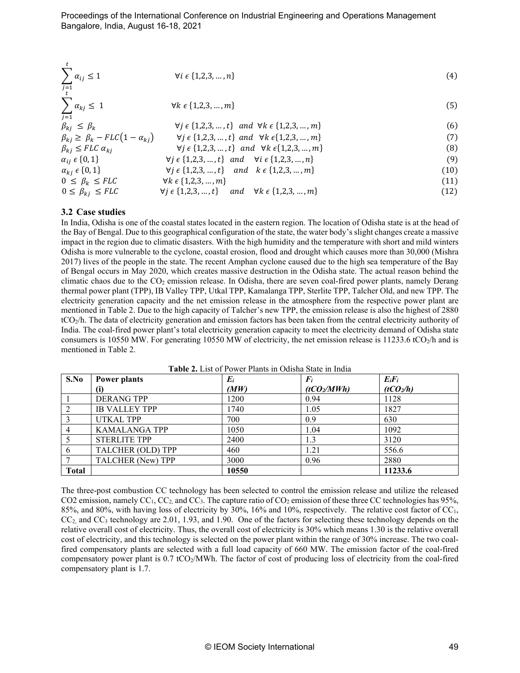$$
\sum_{i=1}^{t} \alpha_{ij} \le 1 \qquad \forall i \in \{1, 2, 3, \dots, n\}
$$
\n
$$
(4)
$$

$$
\sum \alpha_{kj} \leq 1 \qquad \qquad \forall k \in \{1, 2, 3, \dots, m\} \tag{5}
$$

$$
j=1\n\beta_{kj} \leq \beta_k\n\beta_{kj} \geq \beta_k - FLC(1-\alpha_{kj}) \qquad \forall j \in \{1,2,3,...,t\} \text{ and } \forall k \in \{1,2,3,...,m\}
$$
\n(6)

$$
\beta_{kj} \le FLC \alpha_{kj} \qquad \forall j \in \{1, 2, 3, \dots, t\} \quad \text{and} \quad \forall k \in \{1, 2, 3, \dots, m\} \tag{8}
$$
\n
$$
\alpha_{i,j} \in \{0, 1\} \qquad \forall j \in \{1, 2, 3, \dots, t\} \quad \text{and} \quad \forall i \in \{1, 2, 3, \dots, m\} \tag{9}
$$

$$
\alpha_{ij} \in \{0, 1\} \qquad \forall j \in \{1, 2, 3, ..., t\} \text{ and } \forall i \in \{1, 2, 3, ..., n\} \qquad (9) \n\alpha_{kj} \in \{0, 1\} \qquad \forall j \in \{1, 2, 3, ..., t\} \text{ and } k \in \{1, 2, 3, ..., m\} \qquad (10)
$$

$$
0 \leq \beta_k \leq FLC
$$
  
\n
$$
0 \leq \beta_k \leq FLC
$$
  
\n
$$
\forall k \in \{1, 2, 3, ..., m\}
$$
  
\n
$$
\forall j \in \{1, 2, 3, ..., t\}
$$
  
\nand 
$$
\forall k \in \{1, 2, 3, ..., m\}
$$
  
\n
$$
(11)
$$
  
\n(12)

#### **3.2 Case studies**

 $\overline{j=1}$ 

 $\frac{t}{ }$ 

In India, Odisha is one of the coastal states located in the eastern region. The location of Odisha state is at the head of the Bay of Bengal. Due to this geographical configuration of the state, the water body's slight changes create a massive impact in the region due to climatic disasters. With the high humidity and the temperature with short and mild winters Odisha is more vulnerable to the cyclone, coastal erosion, flood and drought which causes more than 30,000 (Mishra 2017) lives of the people in the state. The recent Amphan cyclone caused due to the high sea temperature of the Bay of Bengal occurs in May 2020, which creates massive destruction in the Odisha state. The actual reason behind the climatic chaos due to the CO<sub>2</sub> emission release. In Odisha, there are seven coal-fired power plants, namely Derang thermal power plant (TPP), IB Valley TPP, Utkal TPP, Kamalanga TPP, Sterlite TPP, Talcher Old, and new TPP. The electricity generation capacity and the net emission release in the atmosphere from the respective power plant are mentioned in Table 2. Due to the high capacity of Talcher's new TPP, the emission release is also the highest of 2880 tCO2/h. The data of electricity generation and emission factors has been taken from the central electricity authority of India. The coal-fired power plant's total electricity generation capacity to meet the electricity demand of Odisha state consumers is 10550 MW. For generating 10550 MW of electricity, the net emission release is 11233.6 tCO<sub>2</sub>/h and is mentioned in Table 2.

| S.No         | <b>Power plants</b>  | $E_i$ | $\boldsymbol{F_i}$      | $E_iF_i$              |
|--------------|----------------------|-------|-------------------------|-----------------------|
|              | (i)                  | (MW)  | (tCO <sub>2</sub> /MWh) | (tCO <sub>2</sub> /h) |
|              | <b>DERANG TPP</b>    | 1200  | 0.94                    | 1128                  |
|              | <b>IB VALLEY TPP</b> | 1740  | 1.05                    | 1827                  |
|              | <b>UTKAL TPP</b>     | 700   | 0.9                     | 630                   |
|              | <b>KAMALANGA TPP</b> | 1050  | 1.04                    | 1092                  |
|              | <b>STERLITE TPP</b>  | 2400  | 1.3                     | 3120                  |
|              | TALCHER (OLD) TPP    | 460   | 1.21                    | 556.6                 |
|              | TALCHER (New) TPP    | 3000  | 0.96                    | 2880                  |
| <b>Total</b> |                      | 10550 |                         | 11233.6               |

**Table 2.** List of Power Plants in Odisha State in India

The three-post combustion CC technology has been selected to control the emission release and utilize the released CO2 emission, namely CC<sub>1</sub>, CC<sub>2</sub>, and CC<sub>3</sub>. The capture ratio of CO<sub>2</sub> emission of these three CC technologies has 95%, 85%, and 80%, with having loss of electricity by 30%, 16% and 10%, respectively. The relative cost factor of  $CC<sub>1</sub>$ ,  $CC_2$  and  $CC_3$  technology are 2.01, 1.93, and 1.90. One of the factors for selecting these technology depends on the relative overall cost of electricity. Thus, the overall cost of electricity is 30% which means 1.30 is the relative overall cost of electricity, and this technology is selected on the power plant within the range of 30% increase. The two coalfired compensatory plants are selected with a full load capacity of 660 MW. The emission factor of the coal-fired compensatory power plant is 0.7 tCO2/MWh. The factor of cost of producing loss of electricity from the coal-fired compensatory plant is 1.7.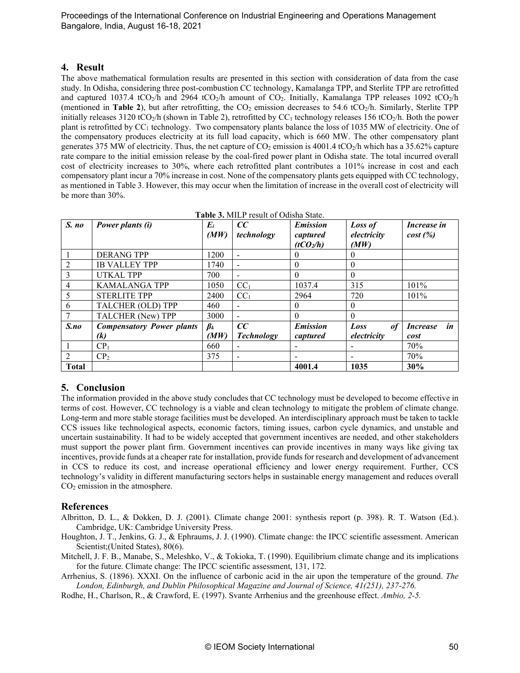## **4. Result**

The above mathematical formulation results are presented in this section with consideration of data from the case study. In Odisha, considering three post-combustion CC technology, Kamalanga TPP, and Sterlite TPP are retrofitted and captured 1037.4 tCO<sub>2</sub>/h and 2964 tCO<sub>2</sub>/h amount of CO<sub>2</sub>. Initially, Kamalanga TPP releases 1092 tCO<sub>2</sub>/h (mentioned in **Table 2**), but after retrofitting, the  $CO<sub>2</sub>$  emission decreases to 54.6 tCO<sub>2</sub>/h. Similarly, Sterlite TPP initially releases 3120 tCO<sub>2</sub>/h (shown in Table 2), retrofitted by CC<sub>1</sub> technology releases 156 tCO<sub>2</sub>/h. Both the power plant is retrofitted by CC1 technology. Two compensatory plants balance the loss of 1035 MW of electricity. One of the compensatory produces electricity at its full load capacity, which is 660 MW. The other compensatory plant generates 375 MW of electricity. Thus, the net capture of  $CO<sub>2</sub>$  emission is 4001.4 tCO<sub>2</sub>/h which has a 35.62% capture rate compare to the initial emission release by the coal-fired power plant in Odisha state. The total incurred overall cost of electricity increases to 30%, where each retrofitted plant contributes a 101% increase in cost and each compensatory plant incur a 70% increase in cost. None of the compensatory plants gets equipped with CC technology, as mentioned in Table 3. However, this may occur when the limitation of increase in the overall cost of electricity will be more than 30%.

| S. no          | Power plants (i)                 | $E_i$<br>(MW) | cc<br>technology         | <b>Emission</b><br>captured<br>(tCO <sub>2</sub> /h) | <b>Loss of</b><br>electricity<br>(MW) | <i>Increase in</i><br>cost(%) |
|----------------|----------------------------------|---------------|--------------------------|------------------------------------------------------|---------------------------------------|-------------------------------|
|                | <b>DERANG TPP</b>                | 1200          |                          | 0                                                    |                                       |                               |
| 2              | <b>IB VALLEY TPP</b>             | 1740          | $\overline{\phantom{a}}$ | $\theta$                                             | $\Omega$                              |                               |
| 3              | <b>UTKAL TPP</b>                 | 700           | $\overline{\phantom{a}}$ | $\theta$                                             | $\Omega$                              |                               |
| 4              | <b>KAMALANGA TPP</b>             | 1050          | CC <sub>1</sub>          | 1037.4                                               | 315                                   | 101%                          |
| 5              | <b>STERLITE TPP</b>              | 2400          | CC <sub>1</sub>          | 2964                                                 | 720                                   | 101%                          |
| 6              | TALCHER (OLD) TPP                | 460           |                          | $\theta$                                             | $\Omega$                              |                               |
|                | TALCHER (New) TPP                | 3000          |                          | $\Omega$                                             | $\Omega$                              |                               |
| S <sub>n</sub> | <b>Compensatory Power plants</b> | $\beta_k$     | cc                       | <b>Emission</b>                                      | <i>of</i><br>Loss                     | in<br><i>Increase</i>         |
|                | $\mathcal{R}$                    | (MW)          | <b>Technology</b>        | captured                                             | electricity                           | cost                          |
|                | CP <sub>1</sub>                  | 660           |                          |                                                      |                                       | 70%                           |
| 2              | CP <sub>2</sub>                  | 375           |                          |                                                      |                                       | 70%                           |
| <b>Total</b>   |                                  |               |                          | 4001.4                                               | 1035                                  | 30%                           |

**Table 3.** MILP result of Odisha State.

# **5. Conclusion**

The information provided in the above study concludes that CC technology must be developed to become effective in terms of cost. However, CC technology is a viable and clean technology to mitigate the problem of climate change. Long-term and more stable storage facilities must be developed. An interdisciplinary approach must be taken to tackle CCS issues like technological aspects, economic factors, timing issues, carbon cycle dynamics, and unstable and uncertain sustainability. It had to be widely accepted that government incentives are needed, and other stakeholders must support the power plant firm. Government incentives can provide incentives in many ways like giving tax incentives, provide funds at a cheaper rate for installation, provide funds for research and development of advancement in CCS to reduce its cost, and increase operational efficiency and lower energy requirement. Further, CCS technology's validity in different manufacturing sectors helps in sustainable energy management and reduces overall  $CO<sub>2</sub>$  emission in the atmosphere.

## **References**

- Albritton, D. L., & Dokken, D. J. (2001). Climate change 2001: synthesis report (p. 398). R. T. Watson (Ed.). Cambridge, UK: Cambridge University Press.
- Houghton, J. T., Jenkins, G. J., & Ephraums, J. J. (1990). Climate change: the IPCC scientific assessment. American Scientist;(United States), 80(6).
- Mitchell, J. F. B., Manabe, S., Meleshko, V., & Tokioka, T. (1990). Equilibrium climate change and its implications for the future. Climate change: The IPCC scientific assessment, 131, 172.
- Arrhenius, S. (1896). XXXI. On the influence of carbonic acid in the air upon the temperature of the ground. *The London, Edinburgh, and Dublin Philosophical Magazine and Journal of Science, 41(251), 237-276.*
- Rodhe, H., Charlson, R., & Crawford, E. (1997). Svante Arrhenius and the greenhouse effect. *Ambio, 2-5.*